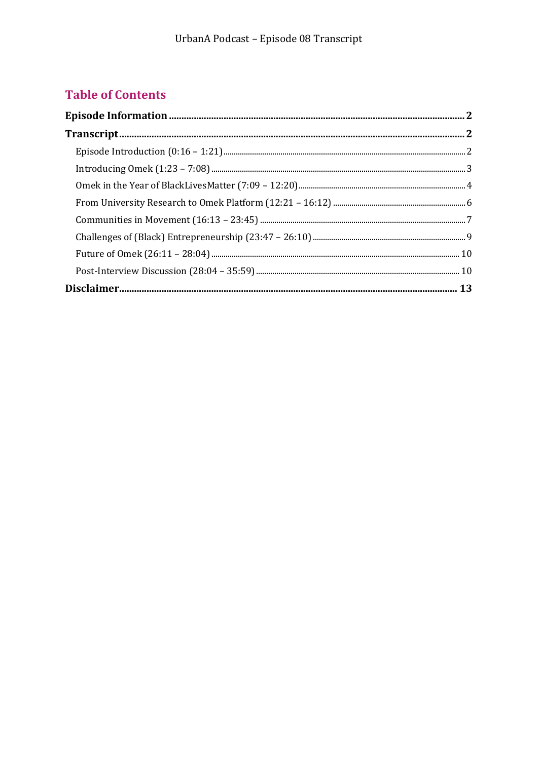## **Table of Contents**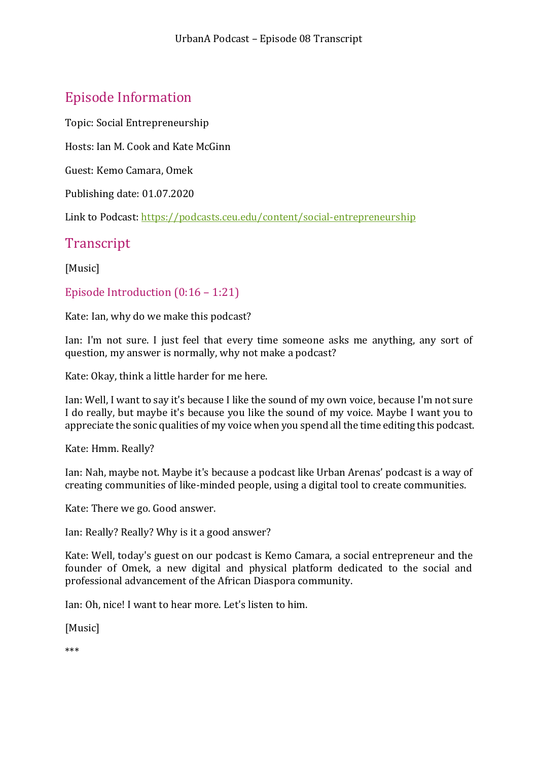# <span id="page-1-0"></span>Episode Information

Topic: Social Entrepreneurship

Hosts: Ian M. Cook and Kate McGinn

Guest: Kemo Camara, Omek

Publishing date: 01.07.2020

Link to Podcast:<https://podcasts.ceu.edu/content/social-entrepreneurship>

### <span id="page-1-1"></span>**Transcript**

[Music]

<span id="page-1-2"></span>Episode Introduction (0:16 – 1:21)

Kate: Ian, why do we make this podcast?

Ian: I'm not sure. I just feel that every time someone asks me anything, any sort of question, my answer is normally, why not make a podcast?

Kate: Okay, think a little harder for me here.

Ian: Well, I want to say it's because I like the sound of my own voice, because I'm not sure I do really, but maybe it's because you like the sound of my voice. Maybe I want you to appreciate the sonic qualities of my voice when you spend all the time editing this podcast.

Kate: Hmm. Really?

Ian: Nah, maybe not. Maybe it's because a podcast like Urban Arenas' podcast is a way of creating communities of like-minded people, using a digital tool to create communities.

Kate: There we go. Good answer.

Ian: Really? Really? Why is it a good answer?

Kate: Well, today's guest on our podcast is Kemo Camara, a social entrepreneur and the founder of Omek, a new digital and physical platform dedicated to the social and professional advancement of the African Diaspora community.

Ian: Oh, nice! I want to hear more. Let's listen to him.

[Music]

\*\*\*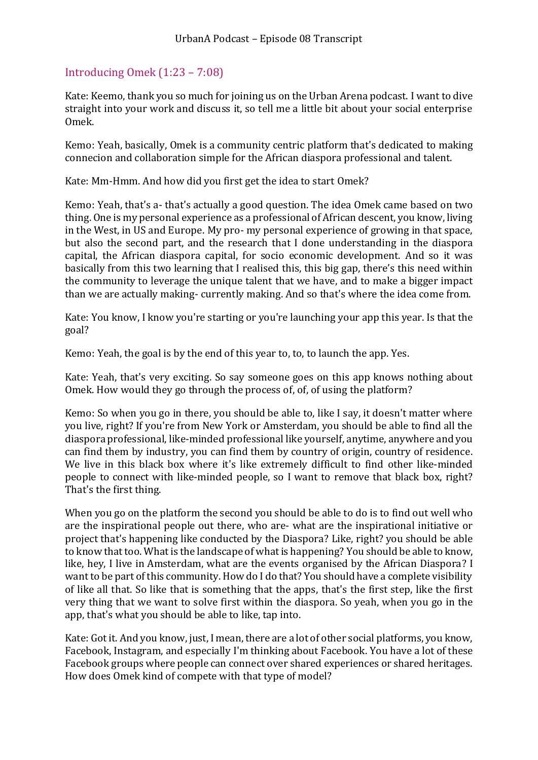#### <span id="page-2-0"></span>Introducing Omek (1:23 – 7:08)

Kate: Keemo, thank you so much for joining us on the Urban Arena podcast. I want to dive straight into your work and discuss it, so tell me a little bit about your social enterprise Omek.

Kemo: Yeah, basically, Omek is a community centric platform that's dedicated to making connecion and collaboration simple for the African diaspora professional and talent.

Kate: Mm-Hmm. And how did you first get the idea to start Omek?

Kemo: Yeah, that's a- that's actually a good question. The idea Omek came based on two thing. One is my personal experience as a professional of African descent, you know, living in the West, in US and Europe. My pro- my personal experience of growing in that space, but also the second part, and the research that I done understanding in the diaspora capital, the African diaspora capital, for socio economic development. And so it was basically from this two learning that I realised this, this big gap, there's this need within the community to leverage the unique talent that we have, and to make a bigger impact than we are actually making- currently making. And so that's where the idea come from.

Kate: You know, I know you're starting or you're launching your app this year. Is that the goal?

Kemo: Yeah, the goal is by the end of this year to, to, to launch the app. Yes.

Kate: Yeah, that's very exciting. So say someone goes on this app knows nothing about Omek. How would they go through the process of, of, of using the platform?

Kemo: So when you go in there, you should be able to, like I say, it doesn't matter where you live, right? If you're from New York or Amsterdam, you should be able to find all the diaspora professional, like-minded professional like yourself, anytime, anywhere and you can find them by industry, you can find them by country of origin, country of residence. We live in this black box where it's like extremely difficult to find other like-minded people to connect with like-minded people, so I want to remove that black box, right? That's the first thing.

When you go on the platform the second you should be able to do is to find out well who are the inspirational people out there, who are- what are the inspirational initiative or project that's happening like conducted by the Diaspora? Like, right? you should be able to know that too. What is the landscape of what is happening? You should be able to know, like, hey, I live in Amsterdam, what are the events organised by the African Diaspora? I want to be part of this community. How do I do that? You should have a complete visibility of like all that. So like that is something that the apps, that's the first step, like the first very thing that we want to solve first within the diaspora. So yeah, when you go in the app, that's what you should be able to like, tap into.

Kate: Got it. And you know, just, I mean, there are a lot of other social platforms, you know, Facebook, Instagram, and especially I'm thinking about Facebook. You have a lot of these Facebook groups where people can connect over shared experiences or shared heritages. How does Omek kind of compete with that type of model?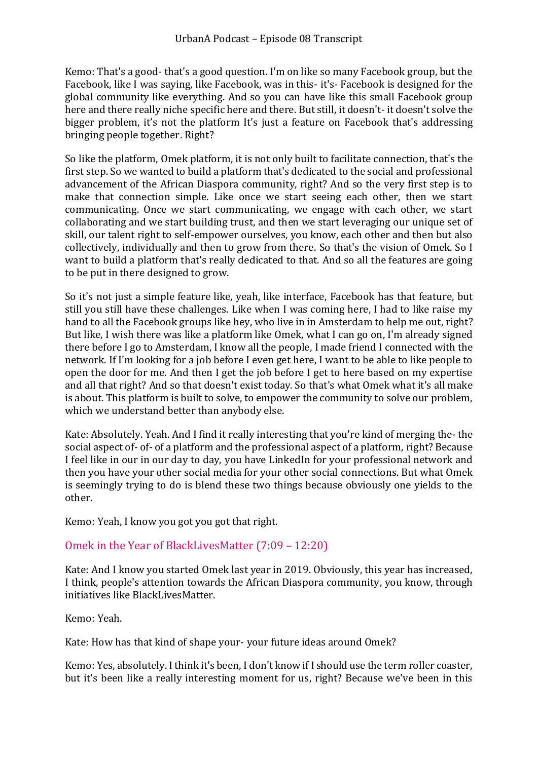Kemo: That's a good- that's a good question. I'm on like so many Facebook group, but the Facebook, like I was saying, like Facebook, was in this- it's- Facebook is designed for the global community like everything. And so you can have like this small Facebook group here and there really niche specific here and there. But still, it doesn't- it doesn't solve the bigger problem, it's not the platform It's just a feature on Facebook that's addressing bringing people together. Right?

So like the platform, Omek platform, it is not only built to facilitate connection, that's the first step. So we wanted to build a platform that's dedicated to the social and professional advancement of the African Diaspora community, right? And so the very first step is to make that connection simple. Like once we start seeing each other, then we start communicating. Once we start communicating, we engage with each other, we start collaborating and we start building trust, and then we start leveraging our unique set of skill, our talent right to self-empower ourselves, you know, each other and then but also collectively, individually and then to grow from there. So that's the vision of Omek. So I want to build a platform that's really dedicated to that. And so all the features are going to be put in there designed to grow.

So it's not just a simple feature like, yeah, like interface, Facebook has that feature, but still you still have these challenges. Like when I was coming here, I had to like raise my hand to all the Facebook groups like hey, who live in in Amsterdam to help me out, right? But like, I wish there was like a platform like Omek, what I can go on, I'm already signed there before I go to Amsterdam, I know all the people, I made friend I connected with the network. If I'm looking for a job before I even get here, I want to be able to like people to open the door for me. And then I get the job before I get to here based on my expertise and all that right? And so that doesn't exist today. So that's what Omek what it's all make is about. This platform is built to solve, to empower the community to solve our problem, which we understand better than anybody else.

Kate: Absolutely. Yeah. And I find it really interesting that you're kind of merging the- the social aspect of- of- of a platform and the professional aspect of a platform, right? Because I feel like in our in our day to day, you have LinkedIn for your professional network and then you have your other social media for your other social connections. But what Omek is seemingly trying to do is blend these two things because obviously one yields to the other.

<span id="page-3-0"></span>Kemo: Yeah, I know you got you got that right.

#### Omek in the Year of BlackLivesMatter (7:09 – 12:20)

Kate: And I know you started Omek last year in 2019. Obviously, this year has increased, I think, people's attention towards the African Diaspora community, you know, through initiatives like BlackLivesMatter.

Kemo: Yeah.

Kate: How has that kind of shape your- your future ideas around Omek?

Kemo: Yes, absolutely. I think it's been, I don't know if I should use the term roller coaster, but it's been like a really interesting moment for us, right? Because we've been in this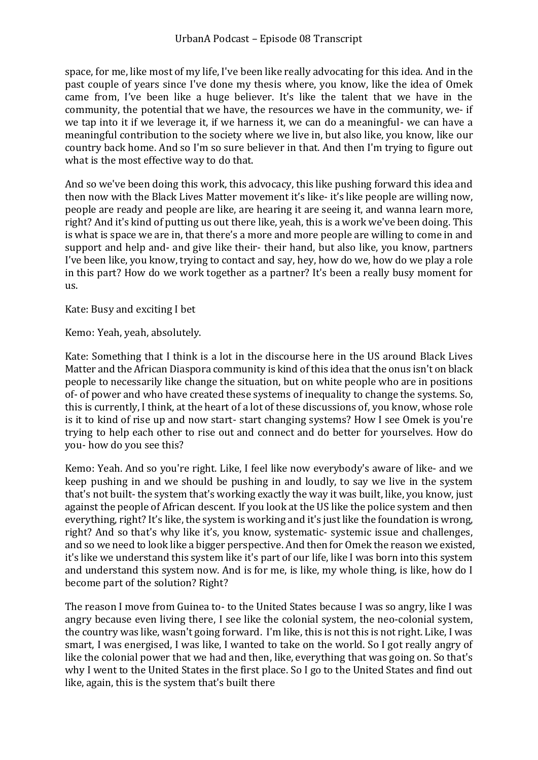space, for me, like most of my life, I've been like really advocating for this idea. And in the past couple of years since I've done my thesis where, you know, like the idea of Omek came from, I've been like a huge believer. It's like the talent that we have in the community, the potential that we have, the resources we have in the community, we- if we tap into it if we leverage it, if we harness it, we can do a meaningful- we can have a meaningful contribution to the society where we live in, but also like, you know, like our country back home. And so I'm so sure believer in that. And then I'm trying to figure out what is the most effective way to do that.

And so we've been doing this work, this advocacy, this like pushing forward this idea and then now with the Black Lives Matter movement it's like- it's like people are willing now, people are ready and people are like, are hearing it are seeing it, and wanna learn more, right? And it's kind of putting us out there like, yeah, this is a work we've been doing. This is what is space we are in, that there's a more and more people are willing to come in and support and help and- and give like their- their hand, but also like, you know, partners I've been like, you know, trying to contact and say, hey, how do we, how do we play a role in this part? How do we work together as a partner? It's been a really busy moment for us.

Kate: Busy and exciting I bet

Kemo: Yeah, yeah, absolutely.

Kate: Something that I think is a lot in the discourse here in the US around Black Lives Matter and the African Diaspora community is kind of this idea that the onus isn't on black people to necessarily like change the situation, but on white people who are in positions of- of power and who have created these systems of inequality to change the systems. So, this is currently, I think, at the heart of a lot of these discussions of, you know, whose role is it to kind of rise up and now start- start changing systems? How I see Omek is you're trying to help each other to rise out and connect and do better for yourselves. How do you- how do you see this?

Kemo: Yeah. And so you're right. Like, I feel like now everybody's aware of like- and we keep pushing in and we should be pushing in and loudly, to say we live in the system that's not built- the system that's working exactly the way it was built, like, you know, just against the people of African descent. If you look at the US like the police system and then everything, right? It's like, the system is working and it's just like the foundation is wrong, right? And so that's why like it's, you know, systematic- systemic issue and challenges, and so we need to look like a bigger perspective. And then for Omek the reason we existed, it's like we understand this system like it's part of our life, like I was born into this system and understand this system now. And is for me, is like, my whole thing, is like, how do I become part of the solution? Right?

The reason I move from Guinea to- to the United States because I was so angry, like I was angry because even living there, I see like the colonial system, the neo-colonial system, the country was like, wasn't going forward. I'm like, this is not this is not right. Like, I was smart, I was energised, I was like, I wanted to take on the world. So I got really angry of like the colonial power that we had and then, like, everything that was going on. So that's why I went to the United States in the first place. So I go to the United States and find out like, again, this is the system that's built there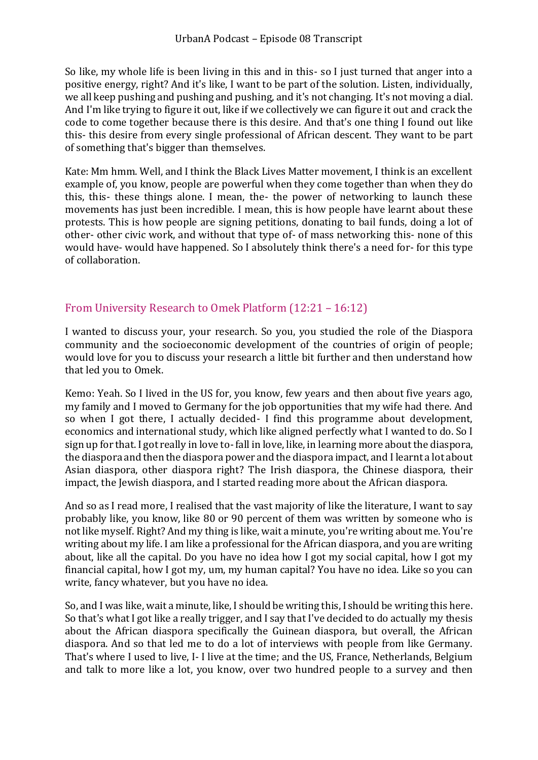So like, my whole life is been living in this and in this- so I just turned that anger into a positive energy, right? And it's like, I want to be part of the solution. Listen, individually, we all keep pushing and pushing and pushing, and it's not changing. It's not moving a dial. And I'm like trying to figure it out, like if we collectively we can figure it out and crack the code to come together because there is this desire. And that's one thing I found out like this- this desire from every single professional of African descent. They want to be part of something that's bigger than themselves.

Kate: Mm hmm. Well, and I think the Black Lives Matter movement, I think is an excellent example of, you know, people are powerful when they come together than when they do this, this- these things alone. I mean, the- the power of networking to launch these movements has just been incredible. I mean, this is how people have learnt about these protests. This is how people are signing petitions, donating to bail funds, doing a lot of other- other civic work, and without that type of- of mass networking this- none of this would have- would have happened. So I absolutely think there's a need for- for this type of collaboration.

#### <span id="page-5-0"></span>From University Research to Omek Platform (12:21 – 16:12)

I wanted to discuss your, your research. So you, you studied the role of the Diaspora community and the socioeconomic development of the countries of origin of people; would love for you to discuss your research a little bit further and then understand how that led you to Omek.

Kemo: Yeah. So I lived in the US for, you know, few years and then about five years ago, my family and I moved to Germany for the job opportunities that my wife had there. And so when I got there, I actually decided- I find this programme about development, economics and international study, which like aligned perfectly what I wanted to do. So I sign up for that. I got really in love to-fall in love, like, in learning more about the diaspora, the diaspora and then the diaspora power and the diaspora impact, and I learnt a lot about Asian diaspora, other diaspora right? The Irish diaspora, the Chinese diaspora, their impact, the Jewish diaspora, and I started reading more about the African diaspora.

And so as I read more, I realised that the vast majority of like the literature, I want to say probably like, you know, like 80 or 90 percent of them was written by someone who is not like myself. Right? And my thing is like, wait a minute, you're writing about me. You're writing about my life. I am like a professional for the African diaspora, and you are writing about, like all the capital. Do you have no idea how I got my social capital, how I got my financial capital, how I got my, um, my human capital? You have no idea. Like so you can write, fancy whatever, but you have no idea.

So, and I was like, wait a minute, like, I should be writing this, I should be writing this here. So that's what I got like a really trigger, and I say that I've decided to do actually my thesis about the African diaspora specifically the Guinean diaspora, but overall, the African diaspora. And so that led me to do a lot of interviews with people from like Germany. That's where I used to live, I- I live at the time; and the US, France, Netherlands, Belgium and talk to more like a lot, you know, over two hundred people to a survey and then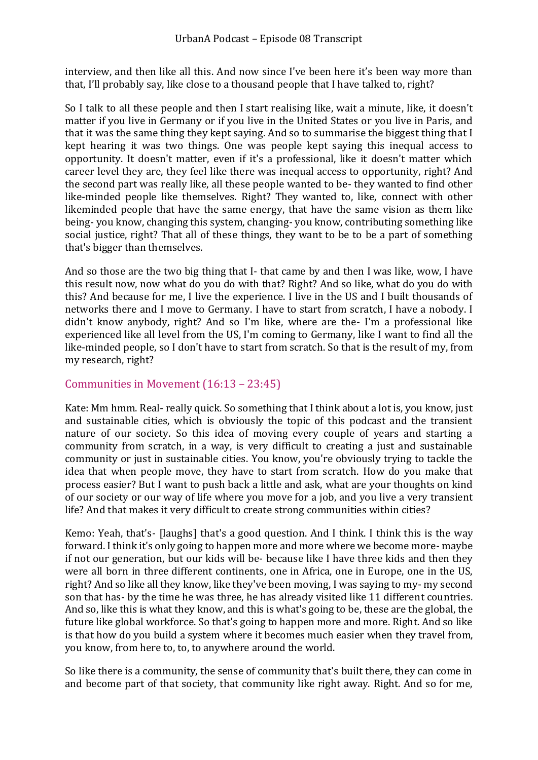interview, and then like all this. And now since I've been here it's been way more than that, I'll probably say, like close to a thousand people that I have talked to, right?

So I talk to all these people and then I start realising like, wait a minute, like, it doesn't matter if you live in Germany or if you live in the United States or you live in Paris, and that it was the same thing they kept saying. And so to summarise the biggest thing that I kept hearing it was two things. One was people kept saying this inequal access to opportunity. It doesn't matter, even if it's a professional, like it doesn't matter which career level they are, they feel like there was inequal access to opportunity, right? And the second part was really like, all these people wanted to be- they wanted to find other like-minded people like themselves. Right? They wanted to, like, connect with other likeminded people that have the same energy, that have the same vision as them like being- you know, changing this system, changing- you know, contributing something like social justice, right? That all of these things, they want to be to be a part of something that's bigger than themselves.

And so those are the two big thing that I- that came by and then I was like, wow, I have this result now, now what do you do with that? Right? And so like, what do you do with this? And because for me, I live the experience. I live in the US and I built thousands of networks there and I move to Germany. I have to start from scratch, I have a nobody. I didn't know anybody, right? And so I'm like, where are the- I'm a professional like experienced like all level from the US, I'm coming to Germany, like I want to find all the like-minded people, so I don't have to start from scratch. So that is the result of my, from my research, right?

### <span id="page-6-0"></span>Communities in Movement (16:13 – 23:45)

Kate: Mm hmm. Real- really quick. So something that I think about a lot is, you know, just and sustainable cities, which is obviously the topic of this podcast and the transient nature of our society. So this idea of moving every couple of years and starting a community from scratch, in a way, is very difficult to creating a just and sustainable community or just in sustainable cities. You know, you're obviously trying to tackle the idea that when people move, they have to start from scratch. How do you make that process easier? But I want to push back a little and ask, what are your thoughts on kind of our society or our way of life where you move for a job, and you live a very transient life? And that makes it very difficult to create strong communities within cities?

Kemo: Yeah, that's- [laughs] that's a good question. And I think. I think this is the way forward. I think it's only going to happen more and more where we become more- maybe if not our generation, but our kids will be- because like I have three kids and then they were all born in three different continents, one in Africa, one in Europe, one in the US, right? And so like all they know, like they've been moving, I was saying to my- my second son that has- by the time he was three, he has already visited like 11 different countries. And so, like this is what they know, and this is what's going to be, these are the global, the future like global workforce. So that's going to happen more and more. Right. And so like is that how do you build a system where it becomes much easier when they travel from, you know, from here to, to, to anywhere around the world.

So like there is a community, the sense of community that's built there, they can come in and become part of that society, that community like right away. Right. And so for me,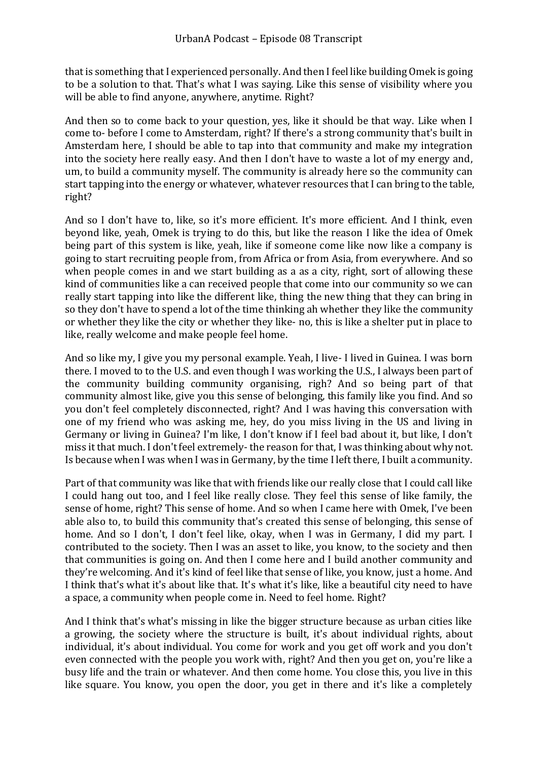that is something that I experienced personally. And then I feel like building Omek is going to be a solution to that. That's what I was saying. Like this sense of visibility where you will be able to find anyone, anywhere, anytime. Right?

And then so to come back to your question, yes, like it should be that way. Like when I come to- before I come to Amsterdam, right? If there's a strong community that's built in Amsterdam here, I should be able to tap into that community and make my integration into the society here really easy. And then I don't have to waste a lot of my energy and, um, to build a community myself. The community is already here so the community can start tapping into the energy or whatever, whatever resources that I can bring to the table, right?

And so I don't have to, like, so it's more efficient. It's more efficient. And I think, even beyond like, yeah, Omek is trying to do this, but like the reason I like the idea of Omek being part of this system is like, yeah, like if someone come like now like a company is going to start recruiting people from, from Africa or from Asia, from everywhere. And so when people comes in and we start building as a as a city, right, sort of allowing these kind of communities like a can received people that come into our community so we can really start tapping into like the different like, thing the new thing that they can bring in so they don't have to spend a lot of the time thinking ah whether they like the community or whether they like the city or whether they like- no, this is like a shelter put in place to like, really welcome and make people feel home.

And so like my, I give you my personal example. Yeah, I live- I lived in Guinea. I was born there. I moved to to the U.S. and even though I was working the U.S., I always been part of the community building community organising, righ? And so being part of that community almost like, give you this sense of belonging, this family like you find. And so you don't feel completely disconnected, right? And I was having this conversation with one of my friend who was asking me, hey, do you miss living in the US and living in Germany or living in Guinea? I'm like, I don't know if I feel bad about it, but like, I don't miss it that much. I don't feel extremely- the reason for that, I was thinking about why not. Is because when I was when I was in Germany, by the time I left there, I built a community.

Part of that community was like that with friends like our really close that I could call like I could hang out too, and I feel like really close. They feel this sense of like family, the sense of home, right? This sense of home. And so when I came here with Omek, I've been able also to, to build this community that's created this sense of belonging, this sense of home. And so I don't, I don't feel like, okay, when I was in Germany, I did my part. I contributed to the society. Then I was an asset to like, you know, to the society and then that communities is going on. And then I come here and I build another community and they're welcoming. And it's kind of feel like that sense of like, you know, just a home. And I think that's what it's about like that. It's what it's like, like a beautiful city need to have a space, a community when people come in. Need to feel home. Right?

And I think that's what's missing in like the bigger structure because as urban cities like a growing, the society where the structure is built, it's about individual rights, about individual, it's about individual. You come for work and you get off work and you don't even connected with the people you work with, right? And then you get on, you're like a busy life and the train or whatever. And then come home. You close this, you live in this like square. You know, you open the door, you get in there and it's like a completely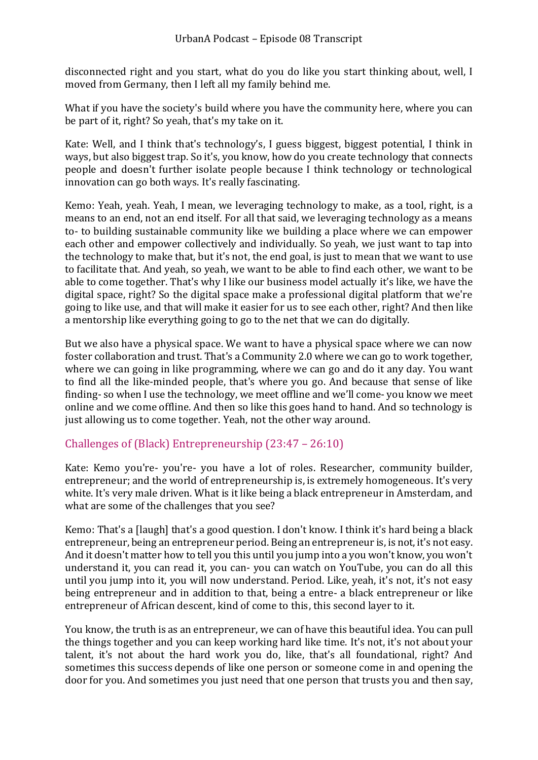disconnected right and you start, what do you do like you start thinking about, well, I moved from Germany, then I left all my family behind me.

What if you have the society's build where you have the community here, where you can be part of it, right? So yeah, that's my take on it.

Kate: Well, and I think that's technology's, I guess biggest, biggest potential, I think in ways, but also biggest trap. So it's, you know, how do you create technology that connects people and doesn't further isolate people because I think technology or technological innovation can go both ways. It's really fascinating.

Kemo: Yeah, yeah. Yeah, I mean, we leveraging technology to make, as a tool, right, is a means to an end, not an end itself. For all that said, we leveraging technology as a means to- to building sustainable community like we building a place where we can empower each other and empower collectively and individually. So yeah, we just want to tap into the technology to make that, but it's not, the end goal, is just to mean that we want to use to facilitate that. And yeah, so yeah, we want to be able to find each other, we want to be able to come together. That's why I like our business model actually it's like, we have the digital space, right? So the digital space make a professional digital platform that we're going to like use, and that will make it easier for us to see each other, right? And then like a mentorship like everything going to go to the net that we can do digitally.

But we also have a physical space. We want to have a physical space where we can now foster collaboration and trust. That's a Community 2.0 where we can go to work together, where we can going in like programming, where we can go and do it any day. You want to find all the like-minded people, that's where you go. And because that sense of like finding- so when I use the technology, we meet offline and we'll come- you know we meet online and we come offline. And then so like this goes hand to hand. And so technology is just allowing us to come together. Yeah, not the other way around.

#### <span id="page-8-0"></span>Challenges of (Black) Entrepreneurship (23:47 – 26:10)

Kate: Kemo you're- you're- you have a lot of roles. Researcher, community builder, entrepreneur; and the world of entrepreneurship is, is extremely homogeneous. It's very white. It's very male driven. What is it like being a black entrepreneur in Amsterdam, and what are some of the challenges that you see?

Kemo: That's a [laugh] that's a good question. I don't know. I think it's hard being a black entrepreneur, being an entrepreneur period. Being an entrepreneur is, is not, it's not easy. And it doesn't matter how to tell you this until you jump into a you won't know, you won't understand it, you can read it, you can- you can watch on YouTube, you can do all this until you jump into it, you will now understand. Period. Like, yeah, it's not, it's not easy being entrepreneur and in addition to that, being a entre- a black entrepreneur or like entrepreneur of African descent, kind of come to this, this second layer to it.

You know, the truth is as an entrepreneur, we can of have this beautiful idea. You can pull the things together and you can keep working hard like time. It's not, it's not about your talent, it's not about the hard work you do, like, that's all foundational, right? And sometimes this success depends of like one person or someone come in and opening the door for you. And sometimes you just need that one person that trusts you and then say,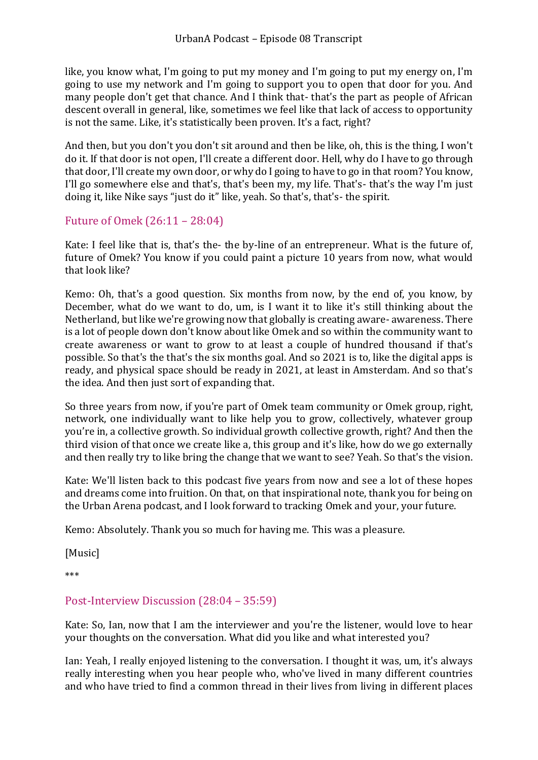like, you know what, I'm going to put my money and I'm going to put my energy on, I'm going to use my network and I'm going to support you to open that door for you. And many people don't get that chance. And I think that- that's the part as people of African descent overall in general, like, sometimes we feel like that lack of access to opportunity is not the same. Like, it's statistically been proven. It's a fact, right?

And then, but you don't you don't sit around and then be like, oh, this is the thing, I won't do it. If that door is not open, I'll create a different door. Hell, why do I have to go through that door, I'll create my own door, or why do I going to have to go in that room? You know, I'll go somewhere else and that's, that's been my, my life. That's- that's the way I'm just doing it, like Nike says "just do it" like, yeah. So that's, that's- the spirit.

#### <span id="page-9-0"></span>Future of Omek (26:11 – 28:04)

Kate: I feel like that is, that's the- the by-line of an entrepreneur. What is the future of, future of Omek? You know if you could paint a picture 10 years from now, what would that look like?

Kemo: Oh, that's a good question. Six months from now, by the end of, you know, by December, what do we want to do, um, is I want it to like it's still thinking about the Netherland, but like we're growing now that globally is creating aware- awareness. There is a lot of people down don't know about like Omek and so within the community want to create awareness or want to grow to at least a couple of hundred thousand if that's possible. So that's the that's the six months goal. And so 2021 is to, like the digital apps is ready, and physical space should be ready in 2021, at least in Amsterdam. And so that's the idea. And then just sort of expanding that.

So three years from now, if you're part of Omek team community or Omek group, right, network, one individually want to like help you to grow, collectively, whatever group you're in, a collective growth. So individual growth collective growth, right? And then the third vision of that once we create like a, this group and it's like, how do we go externally and then really try to like bring the change that we want to see? Yeah. So that's the vision.

Kate: We'll listen back to this podcast five years from now and see a lot of these hopes and dreams come into fruition. On that, on that inspirational note, thank you for being on the Urban Arena podcast, and I look forward to tracking Omek and your, your future.

Kemo: Absolutely. Thank you so much for having me. This was a pleasure.

[Music]

\*\*\*

#### <span id="page-9-1"></span>Post-Interview Discussion (28:04 – 35:59)

Kate: So, Ian, now that I am the interviewer and you're the listener, would love to hear your thoughts on the conversation. What did you like and what interested you?

Ian: Yeah, I really enjoyed listening to the conversation. I thought it was, um, it's always really interesting when you hear people who, who've lived in many different countries and who have tried to find a common thread in their lives from living in different places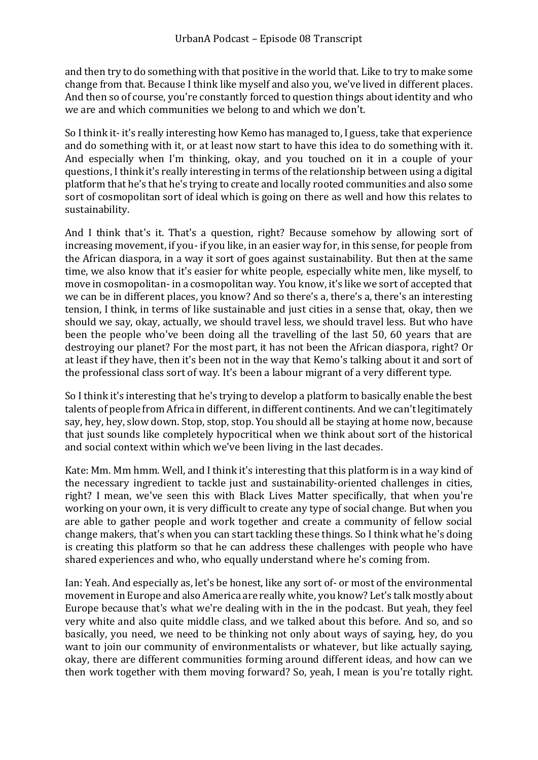and then try to do something with that positive in the world that. Like to try to make some change from that. Because I think like myself and also you, we've lived in different places. And then so of course, you're constantly forced to question things about identity and who we are and which communities we belong to and which we don't.

So I think it- it's really interesting how Kemo has managed to, I guess, take that experience and do something with it, or at least now start to have this idea to do something with it. And especially when I'm thinking, okay, and you touched on it in a couple of your questions, I think it's really interesting in terms of the relationship between using a digital platform that he's that he's trying to create and locally rooted communities and also some sort of cosmopolitan sort of ideal which is going on there as well and how this relates to sustainability.

And I think that's it. That's a question, right? Because somehow by allowing sort of increasing movement, if you- if you like, in an easier way for, in this sense, for people from the African diaspora, in a way it sort of goes against sustainability. But then at the same time, we also know that it's easier for white people, especially white men, like myself, to move in cosmopolitan- in a cosmopolitan way. You know, it's like we sort of accepted that we can be in different places, you know? And so there's a, there's a, there's an interesting tension, I think, in terms of like sustainable and just cities in a sense that, okay, then we should we say, okay, actually, we should travel less, we should travel less. But who have been the people who've been doing all the travelling of the last 50, 60 years that are destroying our planet? For the most part, it has not been the African diaspora, right? Or at least if they have, then it's been not in the way that Kemo's talking about it and sort of the professional class sort of way. It's been a labour migrant of a very different type.

So I think it's interesting that he's trying to develop a platform to basically enable the best talents of people from Africa in different, in different continents. And we can't legitimately say, hey, hey, slow down. Stop, stop, stop. You should all be staying at home now, because that just sounds like completely hypocritical when we think about sort of the historical and social context within which we've been living in the last decades.

Kate: Mm. Mm hmm. Well, and I think it's interesting that this platform is in a way kind of the necessary ingredient to tackle just and sustainability-oriented challenges in cities, right? I mean, we've seen this with Black Lives Matter specifically, that when you're working on your own, it is very difficult to create any type of social change. But when you are able to gather people and work together and create a community of fellow social change makers, that's when you can start tackling these things. So I think what he's doing is creating this platform so that he can address these challenges with people who have shared experiences and who, who equally understand where he's coming from.

Ian: Yeah. And especially as, let's be honest, like any sort of- or most of the environmental movement in Europe and also America are really white, you know? Let's talk mostly about Europe because that's what we're dealing with in the in the podcast. But yeah, they feel very white and also quite middle class, and we talked about this before. And so, and so basically, you need, we need to be thinking not only about ways of saying, hey, do you want to join our community of environmentalists or whatever, but like actually saying, okay, there are different communities forming around different ideas, and how can we then work together with them moving forward? So, yeah, I mean is you're totally right.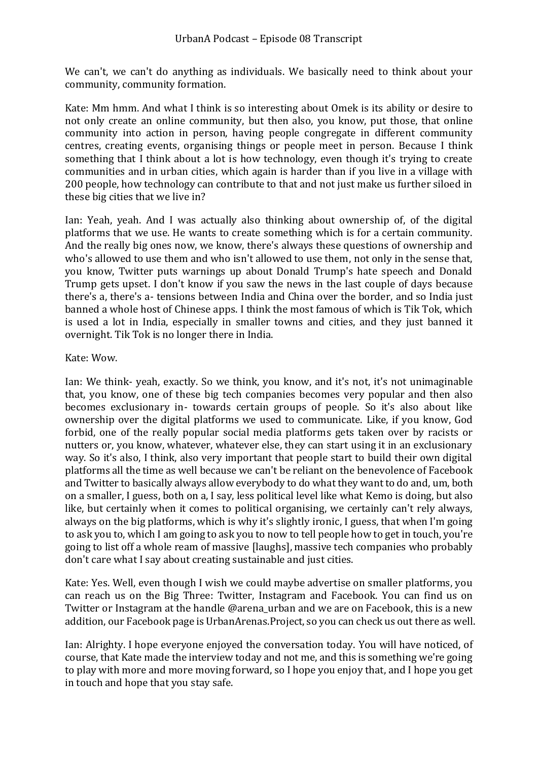We can't, we can't do anything as individuals. We basically need to think about your community, community formation.

Kate: Mm hmm. And what I think is so interesting about Omek is its ability or desire to not only create an online community, but then also, you know, put those, that online community into action in person, having people congregate in different community centres, creating events, organising things or people meet in person. Because I think something that I think about a lot is how technology, even though it's trying to create communities and in urban cities, which again is harder than if you live in a village with 200 people, how technology can contribute to that and not just make us further siloed in these big cities that we live in?

Ian: Yeah, yeah. And I was actually also thinking about ownership of, of the digital platforms that we use. He wants to create something which is for a certain community. And the really big ones now, we know, there's always these questions of ownership and who's allowed to use them and who isn't allowed to use them, not only in the sense that, you know, Twitter puts warnings up about Donald Trump's hate speech and Donald Trump gets upset. I don't know if you saw the news in the last couple of days because there's a, there's a- tensions between India and China over the border, and so India just banned a whole host of Chinese apps. I think the most famous of which is Tik Tok, which is used a lot in India, especially in smaller towns and cities, and they just banned it overnight. Tik Tok is no longer there in India.

#### Kate: Wow.

Ian: We think- yeah, exactly. So we think, you know, and it's not, it's not unimaginable that, you know, one of these big tech companies becomes very popular and then also becomes exclusionary in- towards certain groups of people. So it's also about like ownership over the digital platforms we used to communicate. Like, if you know, God forbid, one of the really popular social media platforms gets taken over by racists or nutters or, you know, whatever, whatever else, they can start using it in an exclusionary way. So it's also, I think, also very important that people start to build their own digital platforms all the time as well because we can't be reliant on the benevolence of Facebook and Twitter to basically always allow everybody to do what they want to do and, um, both on a smaller, I guess, both on a, I say, less political level like what Kemo is doing, but also like, but certainly when it comes to political organising, we certainly can't rely always, always on the big platforms, which is why it's slightly ironic, I guess, that when I'm going to ask you to, which I am going to ask you to now to tell people how to get in touch, you're going to list off a whole ream of massive [laughs], massive tech companies who probably don't care what I say about creating sustainable and just cities.

Kate: Yes. Well, even though I wish we could maybe advertise on smaller platforms, you can reach us on the Big Three: Twitter, Instagram and Facebook. You can find us on Twitter or Instagram at the handle @arena\_urban and we are on Facebook, this is a new addition, our Facebook page is UrbanArenas.Project, so you can check us out there as well.

Ian: Alrighty. I hope everyone enjoyed the conversation today. You will have noticed, of course, that Kate made the interview today and not me, and this is something we're going to play with more and more moving forward, so I hope you enjoy that, and I hope you get in touch and hope that you stay safe.